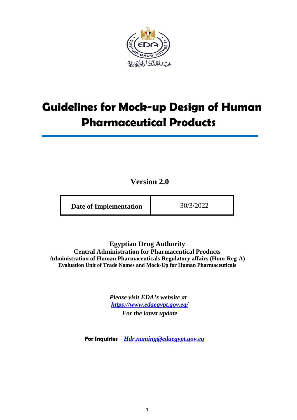

# **Guidelines for Mock-up Design of Human Pharmaceutical Products**

**Version 2.0**

**Egyptian Drug Authority Central Administration for Pharmaceutical Products Administration of Human Pharmaceuticals Regulatory affairs (Hum-Reg-A) Evaluation Unit of Trade Names and Mock-Up for Human Pharmaceuticals**

> *Please visit EDA's website at <https://www.edaegypt.gov.eg/> For the latest update*

**For Inquiries** *Hdr.naming@edaegypt.gov.eg*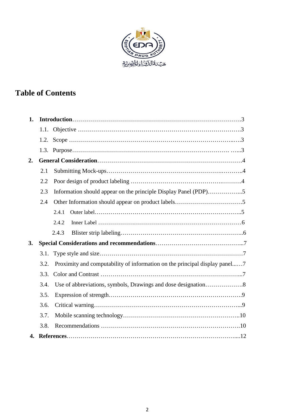

## **Table of Contents**

| 1. |      |                                                                            |  |
|----|------|----------------------------------------------------------------------------|--|
|    |      |                                                                            |  |
|    |      |                                                                            |  |
|    |      |                                                                            |  |
| 2. |      |                                                                            |  |
|    | 2.1  |                                                                            |  |
|    | 2.2  |                                                                            |  |
|    | 2.3  | Information should appear on the principle Display Panel (PDP)5            |  |
|    | 2.4  |                                                                            |  |
|    |      | 2.4.1                                                                      |  |
|    |      | 2.4.2                                                                      |  |
|    |      | 2.4.3                                                                      |  |
| 3. |      |                                                                            |  |
|    | 3.1. |                                                                            |  |
|    | 3.2. | Proximity and computability of information on the principal display panel7 |  |
|    | 3.3. |                                                                            |  |
|    | 3.4. |                                                                            |  |
|    | 3.5. |                                                                            |  |
|    | 3.6. |                                                                            |  |
|    | 3.7. |                                                                            |  |
|    | 3.8. |                                                                            |  |
| 4. |      |                                                                            |  |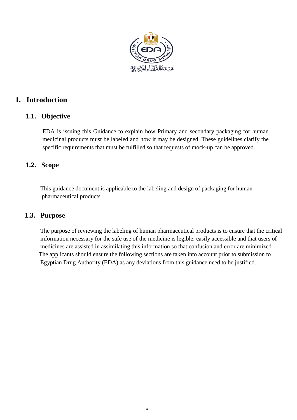

## **1. Introduction**

## **1.1. Objective**

EDA is issuing this Guidance to explain how Primary and secondary packaging for human medicinal products must be labeled and how it may be designed. These guidelines clarify the specific requirements that must be fulfilled so that requests of mock-up can be approved.

## **1.2. Scope**

 This guidance document is applicable to the labeling and design of packaging for human pharmaceutical products

## **1.3. Purpose**

 The purpose of reviewing the labeling of human pharmaceutical products is to ensure that the critical information necessary for the safe use of the medicine is legible, easily accessible and that users of medicines are assisted in assimilating this information so that confusion and error are minimized. The applicants should ensure the following sections are taken into account prior to submission to Egyptian Drug Authority (EDA) as any deviations from this guidance need to be justified.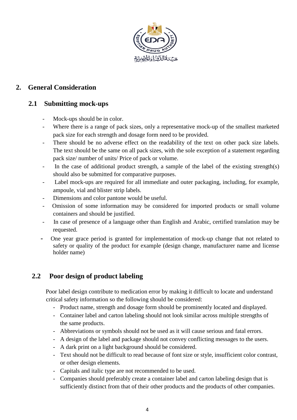

## **2. General Consideration**

## **2.1 Submitting mock-ups**

- Mock-ups should be in color.
- Where there is a range of pack sizes, only a representative mock-up of the smallest marketed pack size for each strength and dosage form need to be provided.
- There should be no adverse effect on the readability of the text on other pack size labels. The text should be the same on all pack sizes, with the sole exception of a statement regarding pack size/ number of units/ Price of pack or volume.
- In the case of additional product strength, a sample of the label of the existing strength(s) should also be submitted for comparative purposes.
- Label mock-ups are required for all immediate and outer packaging, including, for example, ampoule, vial and blister strip labels.
- Dimensions and color pantone would be useful.
- Omission of some information may be considered for imported products or small volume containers and should be justified.
- In case of presence of a language other than English and Arabic, certified translation may be requested.
- One year grace period is granted for implementation of mock-up change that not related to safety or quality of the product for example (design change, manufacturer name and license holder name)

## **2.2 Poor design of product labeling**

 Poor label design contribute to medication error by making it difficult to locate and understand critical safety information so the following should be considered:

- Product name, strength and dosage form should be prominently located and displayed.
- Container label and carton labeling should not look similar across multiple strengths of the same products.
- Abbreviations or symbols should not be used as it will cause serious and fatal errors.
- A design of the label and package should not convey conflicting messages to the users.
- A dark print on a light background should be considered.
- Text should not be difficult to read because of font size or style, insufficient color contrast, or other design elements.
- Capitals and italic type are not recommended to be used.
- Companies should preferably create a container label and carton labeling design that is sufficiently distinct from that of their other products and the products of other companies.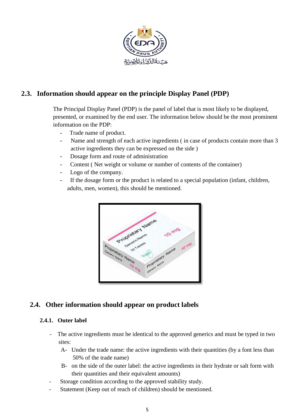

## **2.3. Information should appear on the principle Display Panel (PDP)**

The Principal Display Panel (PDP) is the panel of label that is most likely to be displayed, presented, or examined by the end user. The information below should be the most prominent information on the PDP:

- **-** Trade name of product.
- **-** Name and strength of each active ingredients ( in case of products contain more than 3 active ingredients they can be expressed on the side )
- **-** Dosage form and route of administration
- **-** Content ( Net weight or volume or number of contents of the container)
- **-** Logo of the company.
- **-** If the dosage form or the product is related to a special population (infant, children, adults, men, women), this should be mentioned.



## **2.4. Other information should appear on product labels**

#### **2.4.1. Outer label**

- The active ingredients must be identical to the approved generics and must be typed in two sites:
	- A- Under the trade name: the active ingredients with their quantities (by a font less than 50% of the trade name)
	- B- on the side of the outer label: the active ingredients in their hydrate or salt form with their quantities and their equivalent amounts)
- Storage condition according to the approved stability study.
- Statement (Keep out of reach of children) should be mentioned.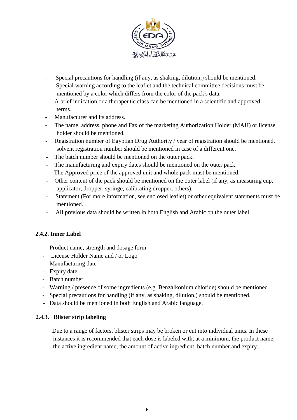

- Special precautions for handling (if any, as shaking, dilution,) should be mentioned.
- Special warning according to the leaflet and the technical committee decisions must be mentioned by a color which differs from the color of the pack's data.
- A brief indication or a therapeutic class can be mentioned in a scientific and approved terms.
- Manufacturer and its address.
- The name, address, phone and Fax of the marketing Authorization Holder (MAH) or license holder should be mentioned.
- Registration number of Egyptian Drug Authority / year of registration should be mentioned, solvent registration number should be mentioned in case of a different one.
- The batch number should be mentioned on the outer pack.
- **-** The manufacturing and expiry dates should be mentioned on the outer pack.
- **-** The Approved price of the approved unit and whole pack must be mentioned.
- **-** Other content of the pack should be mentioned on the outer label (if any, as measuring cup, applicator, dropper, syringe, calibrating dropper, others).
- Statement (For more information, see enclosed leaflet) or other equivalent statements must be mentioned.
- All previous data should be written in both English and Arabic on the outer label.

#### **2.4.2. Inner Label**

- Product name, strength and dosage form
- License Holder Name and / or Logo
- Manufacturing date
- Expiry date
- Batch number
- Warning / presence of some ingredients (e.g. Benzalkonium chloride) should be mentioned
- Special precautions for handling (if any, as shaking, dilution,) should be mentioned.
- Data should be mentioned in both English and Arabic language.

#### **2.4.3. Blister strip labeling**

 Due to a range of factors, blister strips may be broken or cut into individual units. In these instances it is recommended that each dose is labeled with, at a minimum, the product name, the active ingredient name, the amount of active ingredient, batch number and expiry.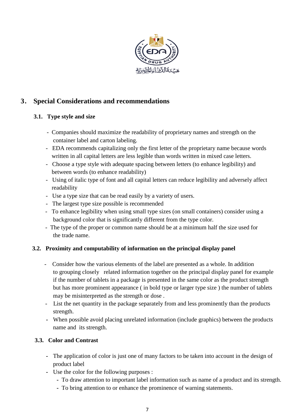

## **3. Special Considerations and recommendations**

## **3.1. Type style and size**

- Companies should maximize the readability of proprietary names and strength on the container label and carton labeling.
- EDA recommends capitalizing only the first letter of the proprietary name because words written in all capital letters are less legible than words written in mixed case letters.
- Choose a type style with adequate spacing between letters (to enhance legibility) and between words (to enhance readability)
- Using of italic type of font and all capital letters can reduce legibility and adversely affect readability
- Use a type size that can be read easily by a variety of users.
- The largest type size possible is recommended
- To enhance legibility when using small type sizes (on small containers) consider using a background color that is significantly different from the type color.
- The type of the proper or common name should be at a minimum half the size used for the trade name.

## **3.2. Proximity and computability of information on the principal display panel**

- Consider how the various elements of the label are presented as a whole. In addition to grouping closely related information together on the principal display panel for example if the number of tablets in a package is presented in the same color as the product strength but has more prominent appearance ( in bold type or larger type size ) the number of tablets may be misinterpreted as the strength or dose .
- List the net quantity in the package separately from and less prominently than the products strength.
- **-** When possible avoid placing unrelated information (include graphics) between the products name and its strength.

#### **3.3. Color and Contrast**

- **-** The application of color is just one of many factors to be taken into account in the design of product label
- **-** Use the color for the following purposes :
	- **-** To draw attention to important label information such as name of a product and its strength.
	- **-** To bring attention to or enhance the prominence of warning statements.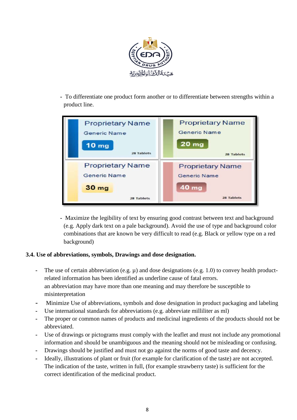

**-** To differentiate one product form another or to differentiate between strengths within a product line.



**-** Maximize the legibility of text by ensuring good contrast between text and background (e.g. Apply dark text on a pale background). Avoid the use of type and background color combinations that are known be very difficult to read (e.g. Black or yellow type on a red background)

#### **3.4. Use of abbreviations, symbols, Drawings and dose designation.**

- **-** The use of certain abbreviation (e.g. µ) and dose designations (e.g. 1.0) to convey health productrelated information has been identified as underline cause of fatal errors. an abbreviation may have more than one meaning and may therefore be susceptible to misinterpretation
- **-** Minimize Use of abbreviations, symbols and dose designation in product packaging and labeling
- **-** Use international standards for abbreviations (e.g. abbreviate milliliter as ml)
- **-** The proper or common names of products and medicinal ingredients of the products should not be abbreviated.
- **-** Use of drawings or pictograms must comply with the leaflet and must not include any promotional information and should be unambiguous and the meaning should not be misleading or confusing.
- **-** Drawings should be justified and must not go against the norms of good taste and decency.
- **-** Ideally, illustrations of plant or fruit (for example for clarification of the taste) are not accepted. The indication of the taste, written in full, (for example strawberry taste) is sufficient for the correct identification of the medicinal product.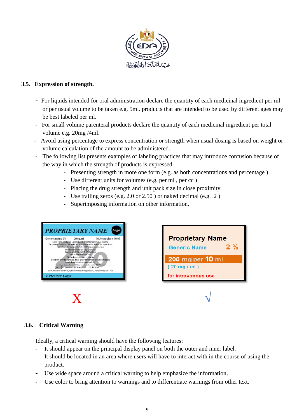

#### **3.5. Expression of strength.**

- For liquids intended for oral administration declare the quantity of each medicinal ingredient per ml or per usual volume to be taken e.g. 5ml. products that are intended to be used by different ages may be best labeled per ml.
- For small volume parenteral products declare the quantity of each medicinal ingredient per total volume e.g. 20mg /4ml.
- -Avoid using percentage to express concentration or strength when usual dosing is based on weight or volume calculation of the amount to be administered.
- **-** The following list presents examples of labeling practices that may introduce confusion because of the way in which the strength of products is expressed.
	- **-** Presenting strength in more one form (e.g. as both concentrations and percentage )
	- **-** Use different units for volumes (e.g. per ml , per cc )
	- **-** Placing the drug strength and unit pack size in close proximity.
	- **-** Use trailing zeros (e.g. 2.0 or 2.50 ) or naked decimal (e.g. .2 )
	- **-** Superimposing information on other information.



#### **3.6. Critical Warning**

Ideally, a critical warning should have the following features:

- **-** It should appear on the principal display panel on both the outer and inner label.
- **-** It should be located in an area where users will have to interact with in the course of using the product.
- **-** Use wide space around a critical warning to help emphasize the information.
- **-** Use color to bring attention to warnings and to differentiate warnings from other text.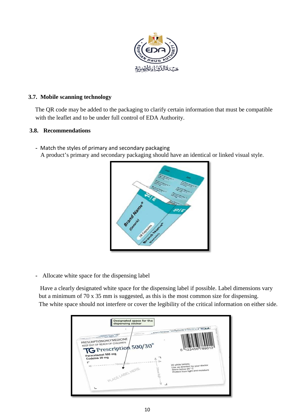

#### **3.7. Mobile scanning technology**

 The QR code may be added to the packaging to clarify certain information that must be compatible with the leaflet and to be under full control of EDA Authority.

#### **3.8. Recommendations**

**-** Match the styles of primary and secondary packaging A product's primary and secondary packaging should have an identical or linked visual style.



**-** Allocate white space for the dispensing label

 Have a clearly designated white space for the dispensing label if possible. Label dimensions vary but a minimum of 70 x 35 mm is suggested, as this is the most common size for dispensing. The white space should not interfere or cover the legibility of the critical information on either side.

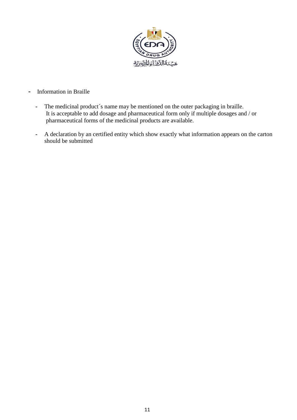

- **-** Information in Braille
	- **-** The medicinal product´s name may be mentioned on the outer packaging in braille. It is acceptable to add dosage and pharmaceutical form only if multiple dosages and / or pharmaceutical forms of the medicinal products are available.
	- **-** A declaration by an certified entity which show exactly what information appears on the carton should be submitted